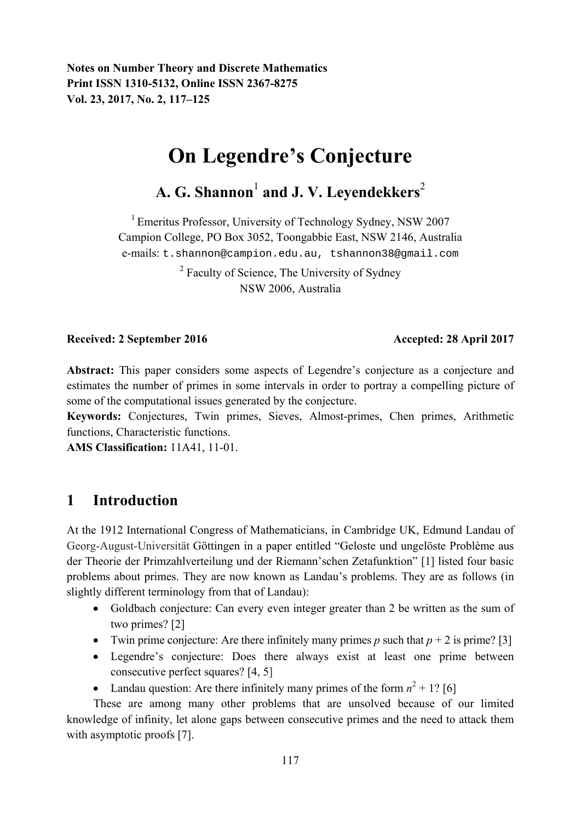**Notes on Number Theory and Discrete Mathematics Print ISSN 1310-5132, Online ISSN 2367-8275 Vol. 23, 2017, No. 2, 117–125** 

# **On Legendre's Conjecture**

# A. G. Shannon<sup>1</sup> and J. V. Leyendekkers<sup>2</sup>

<sup>1</sup> Emeritus Professor, University of Technology Sydney, NSW 2007 Campion College, PO Box 3052, Toongabbie East, NSW 2146, Australia e-mails: t.shannon@campion.edu.au, tshannon38@gmail.com

> <sup>2</sup> Faculty of Science, The University of Sydney NSW 2006, Australia

#### **Received: 2 September 2016 Accepted: 28 April 2017**

Abstract: This paper considers some aspects of Legendre's conjecture as a conjecture and estimates the number of primes in some intervals in order to portray a compelling picture of some of the computational issues generated by the conjecture.

**Keywords:** Conjectures, Twin primes, Sieves, Almost-primes, Chen primes, Arithmetic functions, Characteristic functions.

**AMS Classification:** 11A41, 11-01.

# **1 Introduction**

At the 1912 International Congress of Mathematicians, in Cambridge UK, Edmund Landau of Georg-August-Universität Göttingen in a paper entitled "Geloste und ungelöste Problème aus der Theorie der Primzahlverteilung und der Riemann'schen Zetafunktion" [1] listed four basic problems about primes. They are now known as Landau's problems. They are as follows (in slightly different terminology from that of Landau):

- Goldbach conjecture: Can every even integer greater than 2 be written as the sum of two primes? [2]
- Twin prime conjecture: Are there infinitely many primes  $p$  such that  $p + 2$  is prime? [3]
- Legendre's conjecture: Does there always exist at least one prime between consecutive perfect squares? [4, 5]
- Landau question: Are there infinitely many primes of the form  $n^2 + 1$ ? [6]

These are among many other problems that are unsolved because of our limited knowledge of infinity, let alone gaps between consecutive primes and the need to attack them with asymptotic proofs [7].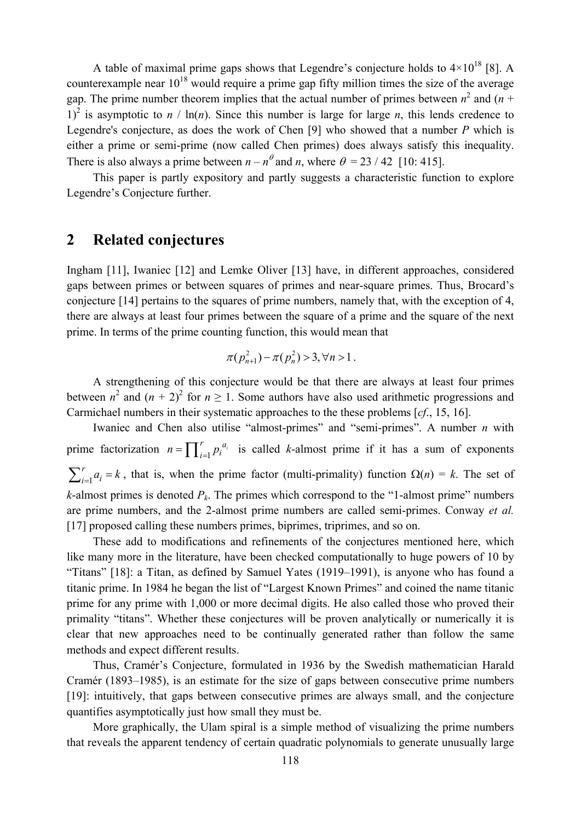A table of maximal prime gaps shows that Legendre's conjecture holds to  $4\times10^{18}$  [8]. A counterexample near  $10^{18}$  would require a prime gap fifty million times the size of the average gap. The prime number theorem implies that the actual number of primes between  $n^2$  and  $(n +$ 1)<sup>2</sup> is asymptotic to  $n / \ln(n)$ . Since this number is large for large *n*, this lends credence to Legendre's conjecture, as does the work of Chen [9] who showed that a number *P* which is either a prime or semi-prime (now called Chen primes) does always satisfy this inequality. There is also always a prime between  $n - n^{\theta}$  and *n*, where  $\theta = 23 / 42$  [10: 415].

This paper is partly expository and partly suggests a characteristic function to explore Legendre's Conjecture further.

### **2 Related conjectures**

Ingham [11], Iwaniec [12] and Lemke Oliver [13] have, in different approaches, considered gaps between primes or between squares of primes and near-square primes. Thus, Brocard's conjecture [14] pertains to the squares of prime numbers, namely that, with the exception of 4, there are always at least four primes between the square of a prime and the square of the next prime. In terms of the prime counting function, this would mean that

$$
\pi(p_{n+1}^2) - \pi(p_n^2) > 3, \forall n > 1.
$$

A strengthening of this conjecture would be that there are always at least four primes between  $n^2$  and  $(n + 2)^2$  for  $n \ge 1$ . Some authors have also used arithmetic progressions and Carmichael numbers in their systematic approaches to the these problems [*cf*., 15, 16].

Iwaniec and Chen also utilise "almost-primes" and "semi-primes". A number *n* with prime factorization  $n = \prod_{i=1}^{r} p_i^{a_i}$  is called *k*-almost prime if it has a sum of exponents 1  $\sum_{i=1}^{r} a_i = k$ , that is, when the prime factor (multi-primality) function  $\Omega(n) = k$ . The set of *k*-almost primes is denoted  $P_k$ . The primes which correspond to the "1-almost prime" numbers are prime numbers, and the 2-almost prime numbers are called semi-primes. Conway *et al.*  [17] proposed calling these numbers primes, biprimes, triprimes, and so on.

These add to modifications and refinements of the conjectures mentioned here, which like many more in the literature, have been checked computationally to huge powers of 10 by "Titans" [18]: a Titan, as defined by Samuel Yates (1919–1991), is anyone who has found a titanic prime. In 1984 he began the list of "Largest Known Primes" and coined the name titanic prime for any prime with 1,000 or more decimal digits. He also called those who proved their primality "titans". Whether these conjectures will be proven analytically or numerically it is clear that new approaches need to be continually generated rather than follow the same methods and expect different results.

Thus, Cramér's Conjecture, formulated in 1936 by the Swedish mathematician Harald Cramér (1893–1985), is an estimate for the size of gaps between consecutive prime numbers [19]: intuitively, that gaps between consecutive primes are always small, and the conjecture quantifies asymptotically just how small they must be.

More graphically, the Ulam spiral is a simple method of visualizing the prime numbers that reveals the apparent tendency of certain quadratic polynomials to generate unusually large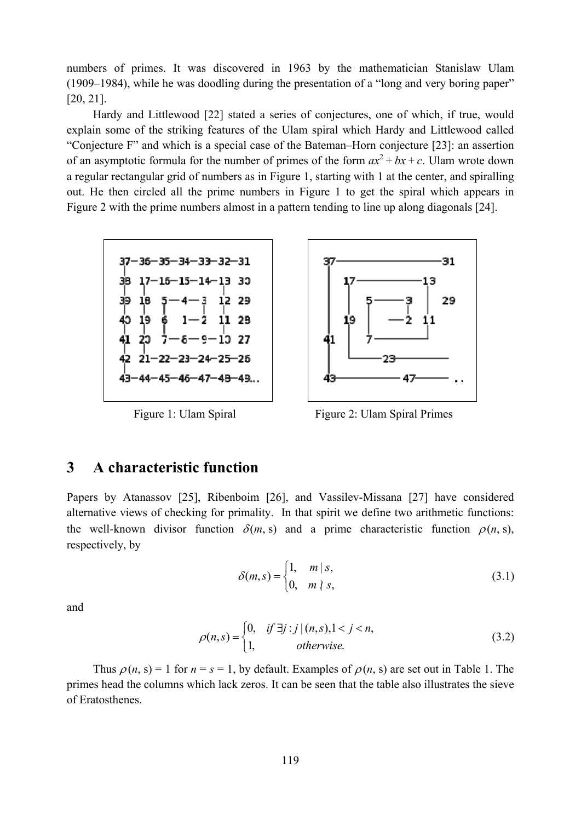numbers of primes. It was discovered in 1963 by the mathematician Stanislaw Ulam (1909–1984), while he was doodling during the presentation of a "long and very boring paper" [20, 21].

Hardy and Littlewood [22] stated a series of conjectures, one of which, if true, would explain some of the striking features of the Ulam spiral which Hardy and Littlewood called "Conjecture F" and which is a special case of the Bateman–Horn conjecture [23]: an assertion of an asymptotic formula for the number of primes of the form  $ax^2 + bx + c$ . Ulam wrote down a regular rectangular grid of numbers as in Figure 1, starting with 1 at the center, and spiralling out. He then circled all the prime numbers in Figure 1 to get the spiral which appears in Figure 2 with the prime numbers almost in a pattern tending to line up along diagonals [24].



31 29 19 47

Figure 1: Ulam Spiral Figure 2: Ulam Spiral Primes

# **3 A characteristic function**

Papers by Atanassov [25], Ribenboim [26], and Vassilev-Missana [27] have considered alternative views of checking for primality. In that spirit we define two arithmetic functions: the well-known divisor function  $\delta(m, s)$  and a prime characteristic function  $\rho(n, s)$ , respectively, by

$$
\delta(m,s) = \begin{cases} 1, & m \mid s, \\ 0, & m \nmid s, \end{cases}
$$
 (3.1)

and

$$
\rho(n,s) = \begin{cases} 0, & \text{if } \exists j : j \mid (n,s), 1 < j < n, \\ 1, & \text{otherwise.} \end{cases} \tag{3.2}
$$

Thus  $\rho(n, s) = 1$  for  $n = s = 1$ , by default. Examples of  $\rho(n, s)$  are set out in Table 1. The primes head the columns which lack zeros. It can be seen that the table also illustrates the sieve of Eratosthenes.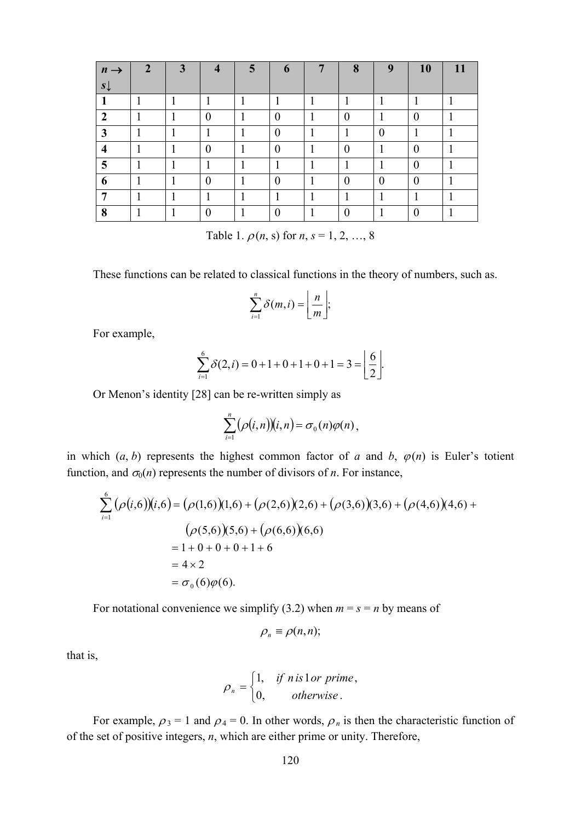| $n \rightarrow$ | $\overline{2}$ | $\overline{3}$ |          | 5 <sub>l</sub> | 6        | 8        | 9        | <b>10</b> | 11 |
|-----------------|----------------|----------------|----------|----------------|----------|----------|----------|-----------|----|
| $s\downarrow$   |                |                |          |                |          |          |          |           |    |
|                 |                |                |          |                |          |          |          |           |    |
| 2               |                |                | $\theta$ |                | $\Omega$ | $\theta$ |          |           |    |
| 3               |                |                |          |                | $\theta$ |          | $\theta$ |           |    |
| 4               |                |                | $\theta$ |                | $\theta$ | 0        |          | $\theta$  |    |
| 5               |                |                |          |                |          |          |          |           |    |
| 6               |                |                | 0        |                | $\theta$ |          | $\theta$ | 0         |    |
| −               |                |                |          |                |          |          |          |           |    |
| 8               |                |                | 0        |                |          |          |          |           |    |

Table 1.  $\rho(n, s)$  for  $n, s = 1, 2, ..., 8$ 

These functions can be related to classical functions in the theory of numbers, such as.

$$
\sum_{i=1}^n \delta(m,i) = \left\lfloor \frac{n}{m} \right\rfloor;
$$

For example,

$$
\sum_{i=1}^{6} \delta(2, i) = 0 + 1 + 0 + 1 + 0 + 1 = 3 = \left\lfloor \frac{6}{2} \right\rfloor.
$$

Or Menon's identity [28] can be re-written simply as

$$
\sum_{i=1}^n (\rho(i,n))(i,n) = \sigma_0(n)\varphi(n)\,,
$$

in which  $(a, b)$  represents the highest common factor of *a* and *b*,  $\varphi(n)$  is Euler's totient function, and  $\sigma_0(n)$  represents the number of divisors of *n*. For instance,

$$
\sum_{i=1}^{6} (\rho(i,6))(i,6) = (\rho(1,6))(1,6) + (\rho(2,6))(2,6) + (\rho(3,6))(3,6) + (\rho(4,6))(4,6) +
$$
  
\n
$$
(\rho(5,6))(5,6) + (\rho(6,6))(6,6)
$$
  
\n
$$
= 1 + 0 + 0 + 0 + 1 + 6
$$
  
\n
$$
= 4 \times 2
$$
  
\n
$$
= \sigma_0(6)\varphi(6).
$$

For notational convenience we simplify (3.2) when  $m = s = n$  by means of

$$
\rho_n \equiv \rho(n,n);
$$

that is,

$$
\rho_n = \begin{cases} 1, & \text{if n is 1 or prime,} \\ 0, & \text{otherwise.} \end{cases}
$$

For example,  $\rho_3 = 1$  and  $\rho_4 = 0$ . In other words,  $\rho_n$  is then the characteristic function of of the set of positive integers, *n*, which are either prime or unity. Therefore,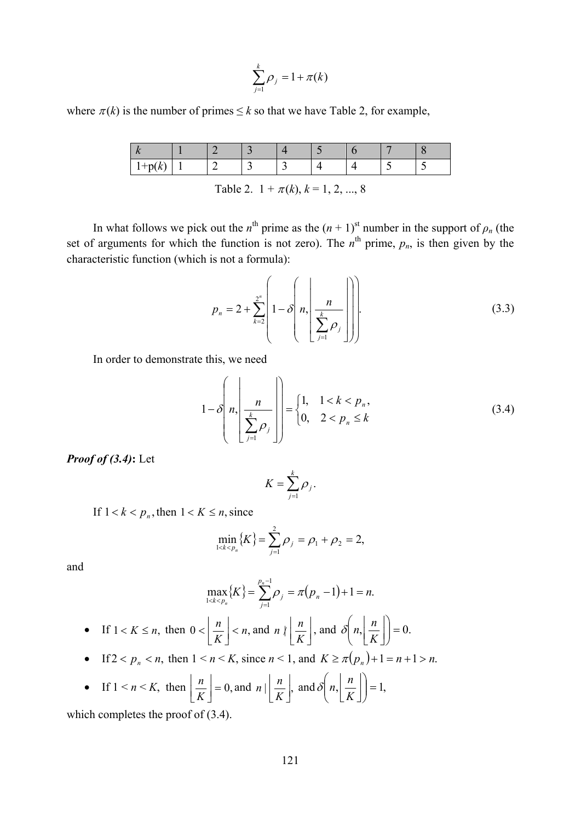$$
\sum_{j=1}^k \rho_j = 1 + \pi(k)
$$

where  $\pi(k)$  is the number of primes  $\leq k$  so that we have Table 2, for example,

| . |  | - |  |  |  |
|---|--|---|--|--|--|

Table 2.  $1 + \pi(k)$ ,  $k = 1, 2, ..., 8$ 

In what follows we pick out the *n*<sup>th</sup> prime as the  $(n + 1)$ <sup>st</sup> number in the support of  $\rho_n$  (the set of arguments for which the function is not zero). The  $n^{\text{th}}$  prime,  $p_n$ , is then given by the characteristic function (which is not a formula):

$$
p_n = 2 + \sum_{k=2}^{2^n} \left( 1 - \delta \left( n, \left| \frac{n}{\sum_{j=1}^k \rho_j} \right| \right) \right)
$$
(3.3)

In order to demonstrate this, we need

$$
1 - \delta \left( n, \left| \frac{n}{\sum_{j=1}^{k} \rho_j} \right| \right) = \begin{cases} 1, & 1 < k < p_n, \\ 0, & 2 < p_n \le k \end{cases} \tag{3.4}
$$

*Proof of (3.4)***:** Let

$$
K=\sum_{j=1}^k \rho_j.
$$

If  $1 < k < p_n$ , then  $1 < K \le n$ , since

$$
\min_{1 < k < p_n} \{ K \} = \sum_{j=1}^2 \rho_j = \rho_1 + \rho_2 = 2,
$$

and

$$
\max_{1 < k < p_n} \{ K \} = \sum_{j=1}^{p_n - 1} \rho_j = \pi (p_n - 1) + 1 = n.
$$

 $\sim$ 

• If 
$$
1 < K \le n
$$
, then  $0 < \left\lfloor \frac{n}{K} \right\rfloor < n$ , and  $n \mid \left\lfloor \frac{n}{K} \right\rfloor$ , and  $\delta\left(n, \left\lfloor \frac{n}{K} \right\rfloor\right) = 0$ .

• If 
$$
2 < p_n < n
$$
, then  $1 < n < K$ , since  $n < 1$ , and  $K \ge \pi(p_n) + 1 = n + 1 > n$ .

• If 
$$
1 < n < K
$$
, then  $\left\lfloor \frac{n}{K} \right\rfloor = 0$ , and  $n \mid \left\lfloor \frac{n}{K} \right\rfloor$ , and  $\delta\left(n, \left\lfloor \frac{n}{K} \right\rfloor \right) = 1$ ,

which completes the proof of (3.4).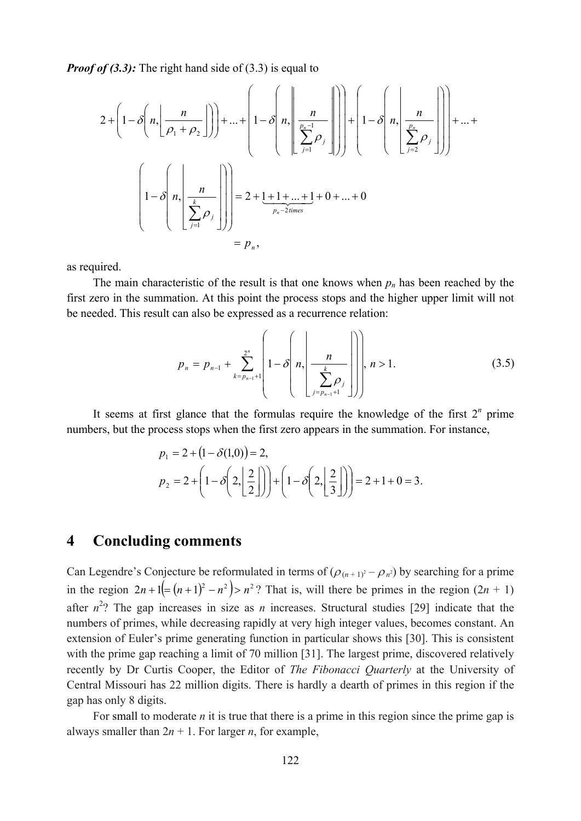*Proof of (3.3):* The right hand side of (3.3) is equal to

$$
2 + \left(1 - \delta\left(n, \left\lfloor \frac{n}{\rho_1 + \rho_2}\right\rfloor\right)\right) + \dots + \left(1 - \delta\left(n, \left\lfloor \frac{n}{\sum_{j=1}^{p_n-1} \rho_j}\right\rfloor\right)\right) + \left(1 - \delta\left(n, \left\lfloor \frac{n}{\sum_{j=1}^{p_n} \rho_j}\right\rfloor\right)\right) + \dots + \left(1 - \delta\left(n, \left\lfloor \frac{n}{\sum_{j=1}^{p_n} \rho_j}\right\rfloor\right)\right) + \dots + \left(1 - \delta\left(n, \left\lfloor \frac{n}{\sum_{j=1}^{p_n} \rho_j}\right\rfloor\right)\right) = 2 + \underbrace{1 + 1 + \dots + 1}_{p_n - 2 \text{ times}} + 0 + \dots + 0
$$
\n
$$
= p_n,
$$

as required.

The main characteristic of the result is that one knows when  $p_n$  has been reached by the first zero in the summation. At this point the process stops and the higher upper limit will not be needed. This result can also be expressed as a recurrence relation:

$$
p_n = p_{n-1} + \sum_{k=p_{n-1}+1}^{2^n} \left(1 - \delta \left(n, \left|\frac{n}{\sum_{j=p_{n-1}+1}^k \rho_j}\right|\right)\right), \ n > 1. \tag{3.5}
$$

It seems at first glance that the formulas require the knowledge of the first  $2<sup>n</sup>$  prime numbers, but the process stops when the first zero appears in the summation. For instance,

$$
p_1 = 2 + (1 - \delta(1,0)) = 2,
$$
  
\n
$$
p_2 = 2 + \left(1 - \delta\left(2, \left\lfloor \frac{2}{2} \right\rfloor\right)\right) + \left(1 - \delta\left(2, \left\lfloor \frac{2}{3} \right\rfloor\right)\right) = 2 + 1 + 0 = 3.
$$

# **4 Concluding comments**

Can Legendre's Conjecture be reformulated in terms of  $(\rho_{(n+1)^2} - \rho_n^2)$  by searching for a prime in the region  $2n+1 = (n+1)^2 - n^2$  >  $n^2$ ? That is, will there be primes in the region  $(2n + 1)$ after  $n^2$ ? The gap increases in size as *n* increases. Structural studies [29] indicate that the numbers of primes, while decreasing rapidly at very high integer values, becomes constant. An extension of Euler's prime generating function in particular shows this [30]. This is consistent with the prime gap reaching a limit of 70 million [31]. The largest prime, discovered relatively recently by Dr Curtis Cooper, the Editor of *The Fibonacci Quarterly* at the University of Central Missouri has 22 million digits. There is hardly a dearth of primes in this region if the gap has only 8 digits.

For small to moderate *n* it is true that there is a prime in this region since the prime gap is always smaller than  $2n + 1$ . For larger *n*, for example,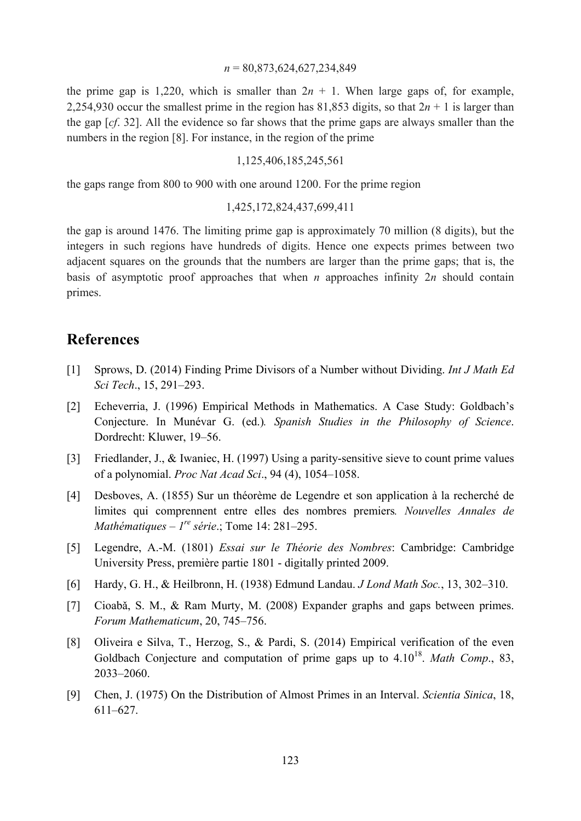#### *n* = 80,873,624,627,234,849

the prime gap is 1,220, which is smaller than  $2n + 1$ . When large gaps of, for example, 2,254,930 occur the smallest prime in the region has 81,853 digits, so that  $2n + 1$  is larger than the gap [*cf*. 32]. All the evidence so far shows that the prime gaps are always smaller than the numbers in the region [8]. For instance, in the region of the prime

#### 1,125,406,185,245,561

the gaps range from 800 to 900 with one around 1200. For the prime region

#### 1,425,172,824,437,699,411

the gap is around 1476. The limiting prime gap is approximately 70 million (8 digits), but the integers in such regions have hundreds of digits. Hence one expects primes between two adjacent squares on the grounds that the numbers are larger than the prime gaps; that is, the basis of asymptotic proof approaches that when *n* approaches infinity 2*n* should contain primes.

## **References**

- [1] Sprows, D. (2014) Finding Prime Divisors of a Number without Dividing. *Int J Math Ed Sci Tech*., 15, 291–293.
- [2] Echeverria, J. (1996) Empirical Methods in Mathematics. A Case Study: Goldbach's Conjecture. In Munévar G. (ed.)*. Spanish Studies in the Philosophy of Science*. Dordrecht: Kluwer, 19–56.
- [3] Friedlander, J., & Iwaniec, H. (1997) Using a parity-sensitive sieve to count prime values of a polynomial. *Proc Nat Acad Sci*., 94 (4), 1054–1058.
- [4] Desboves, A. (1855) Sur un théorème de Legendre et son application à la recherché de limites qui comprennent entre elles des nombres premiers*. Nouvelles Annales de Mathématiques – 1re série*.; Tome 14: 281–295.
- [5] Legendre, A.-M. (1801) *Essai sur le Théorie des Nombres*: Cambridge: Cambridge University Press, première partie 1801 - digitally printed 2009.
- [6] Hardy, G. H., & Heilbronn, H. (1938) Edmund Landau. *J Lond Math Soc.*, 13, 302–310.
- [7] Cioabǎ, S. M., & Ram Murty, M. (2008) Expander graphs and gaps between primes. *Forum Mathematicum*, 20, 745–756.
- [8] Oliveira e Silva, T., Herzog, S., & Pardi, S. (2014) Empirical verification of the even Goldbach Conjecture and computation of prime gaps up to  $4.10^{18}$ . *Math Comp.*, 83, 2033–2060.
- [9] Chen, J. (1975) On the Distribution of Almost Primes in an Interval. *Scientia Sinica*, 18, 611–627.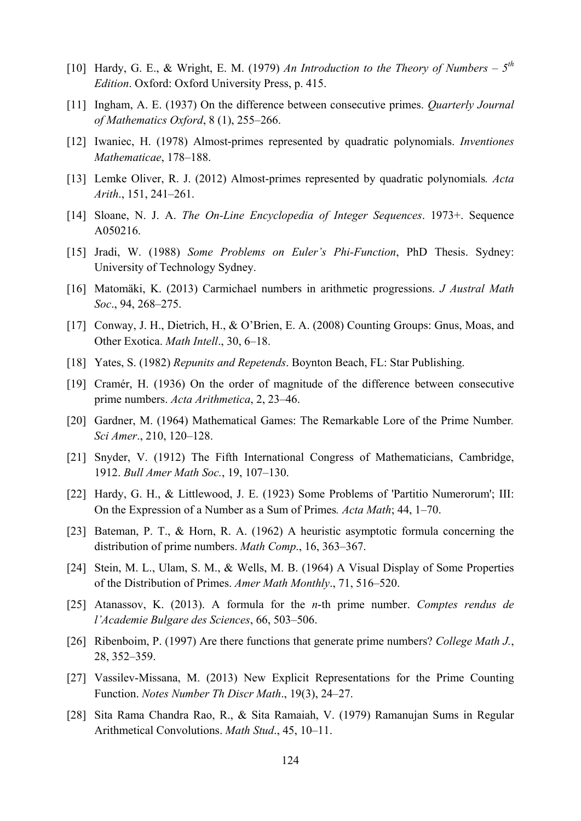- [10] Hardy, G. E., & Wright, E. M. (1979) *An Introduction to the Theory of Numbers 5th Edition*. Oxford: Oxford University Press, p. 415.
- [11] Ingham, A. E. (1937) On the difference between consecutive primes. *Quarterly Journal of Mathematics Oxford*, 8 (1), 255–266.
- [12] Iwaniec, H. (1978) Almost-primes represented by quadratic polynomials. *Inventiones Mathematicae*, 178–188.
- [13] Lemke Oliver, R. J. (2012) Almost-primes represented by quadratic polynomials*. Acta Arith*., 151, 241–261.
- [14] Sloane, N. J. A. *The On-Line Encyclopedia of Integer Sequences*. 1973+. Sequence A050216.
- [15] Jradi, W. (1988) *Some Problems on Euler's Phi-Function*, PhD Thesis. Sydney: University of Technology Sydney.
- [16] Matomäki, K. (2013) Carmichael numbers in arithmetic progressions. *J Austral Math Soc*., 94, 268–275.
- [17] Conway, J. H., Dietrich, H., & O'Brien, E. A. (2008) Counting Groups: Gnus, Moas, and Other Exotica. *Math Intell*., 30, 6–18.
- [18] Yates, S. (1982) *Repunits and Repetends*. Boynton Beach, FL: Star Publishing.
- [19] Cramér, H. (1936) On the order of magnitude of the difference between consecutive prime numbers. *Acta Arithmetica*, 2, 23–46.
- [20] Gardner, M. (1964) Mathematical Games: The Remarkable Lore of the Prime Number*. Sci Amer*., 210, 120–128.
- [21] Snyder, V. (1912) The Fifth International Congress of Mathematicians, Cambridge, 1912. *Bull Amer Math Soc.*, 19, 107–130.
- [22] Hardy, G. H., & Littlewood, J. E. (1923) Some Problems of 'Partitio Numerorum'; III: On the Expression of a Number as a Sum of Primes*. Acta Math*; 44, 1–70.
- [23] Bateman, P. T., & Horn, R. A. (1962) A heuristic asymptotic formula concerning the distribution of prime numbers. *Math Comp*., 16, 363–367.
- [24] Stein, M. L., Ulam, S. M., & Wells, M. B. (1964) A Visual Display of Some Properties of the Distribution of Primes. *Amer Math Monthly*., 71, 516–520.
- [25] Atanassov, K. (2013). A formula for the *n*-th prime number. *Comptes rendus de l'Academie Bulgare des Sciences*, 66, 503–506.
- [26] Ribenboim, P. (1997) Are there functions that generate prime numbers? *College Math J.*, 28, 352–359.
- [27] Vassilev-Missana, M. (2013) New Explicit Representations for the Prime Counting Function. *Notes Number Th Discr Math*., 19(3), 24–27.
- [28] Sita Rama Chandra Rao, R., & Sita Ramaiah, V. (1979) Ramanujan Sums in Regular Arithmetical Convolutions. *Math Stud*., 45, 10–11.